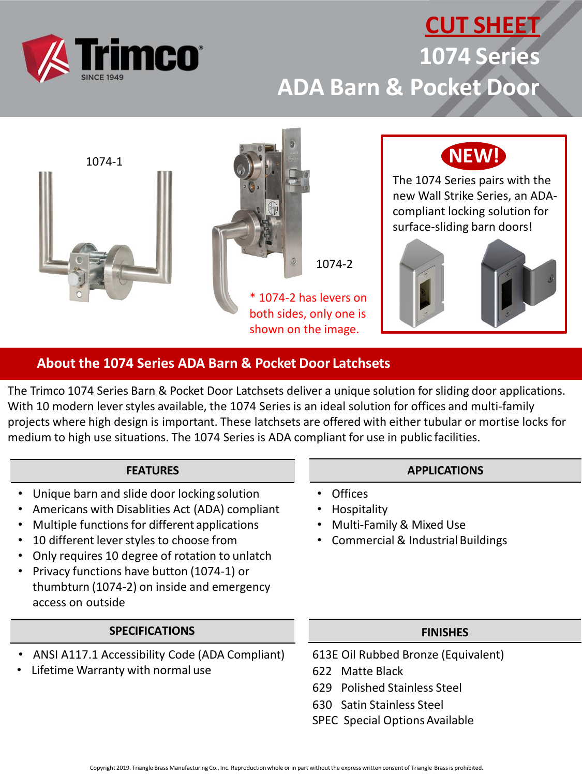

## **CUT SHEET 1074 Series ADA Barn & Pocket Door**



### **About the 1074 Series ADA Barn & Pocket Door Latchsets**

The Trimco 1074 Series Barn & Pocket Door Latchsets deliver a unique solution for sliding door applications. With 10 modern lever styles available, the 1074 Series is an ideal solution for offices and multi-family projects where high design is important. These latchsets are offered with either tubular or mortise locks for medium to high use situations. The 1074 Series is ADA compliant for use in public facilities.

#### **FEATURES**

- Unique barn and slide door locking solution
- Americans with Disablities Act (ADA) compliant
- Multiple functions for different applications
- 10 different lever styles to choose from
- Only requires 10 degree of rotation to unlatch
- Privacy functions have button (1074-1) or thumbturn (1074-2) on inside and emergency access on outside

#### **SPECIFICATIONS**

- ANSI A117.1 Accessibility Code (ADA Compliant)
- Lifetime Warranty with normal use

#### **APPLICATIONS**

- Offices
- Hospitality
- Multi-Family & Mixed Use
- Commercial & Industrial Buildings

#### **FINISHES**

- 613E Oil Rubbed Bronze (Equivalent)
- 622 Matte Black
- 629 Polished Stainless Steel
- 630 Satin Stainless Steel
- SPEC Special Options Available